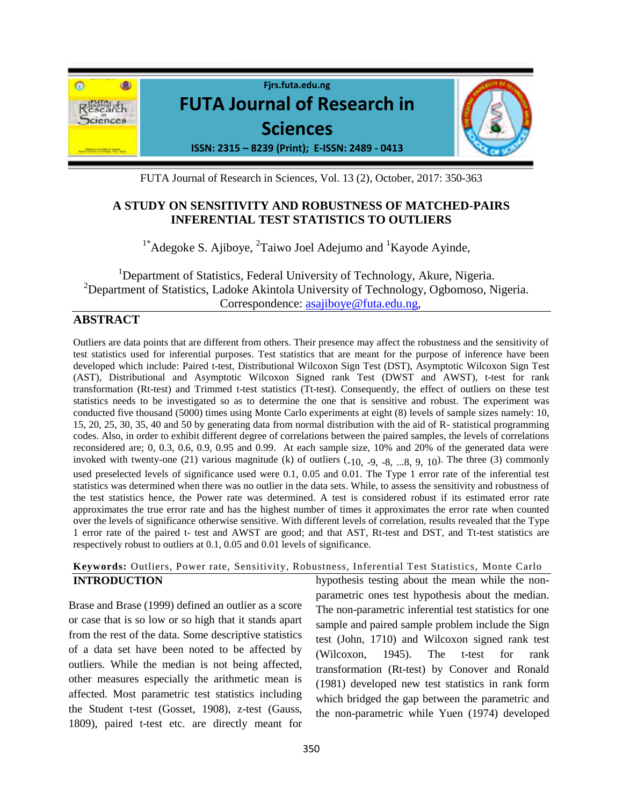

FUTA Journal of Research in Sciences, Vol. 13 (2), October, 2017: 350-363

# **A STUDY ON SENSITIVITY AND ROBUSTNESS OF MATCHED-PAIRS INFERENTIAL TEST STATISTICS TO OUTLIERS**

 $1*$ Adegoke S. Ajiboye,  $2$ Taiwo Joel Adejumo and  $1$ Kayode Ayinde,

<sup>1</sup>Department of Statistics, Federal University of Technology, Akure, Nigeria. <sup>2</sup>Department of Statistics, Ladoke Akintola University of Technology, Ogbomoso, Nigeria. Correspondence: [asajiboye@futa.edu.ng,](mailto:asajiboye@futa.edu.ng)

# **ABSTRACT**

Outliers are data points that are different from others. Their presence may affect the robustness and the sensitivity of test statistics used for inferential purposes. Test statistics that are meant for the purpose of inference have been developed which include: Paired t-test, Distributional Wilcoxon Sign Test (DST), Asymptotic Wilcoxon Sign Test (AST), Distributional and Asymptotic Wilcoxon Signed rank Test (DWST and AWST), t-test for rank transformation (Rt-test) and Trimmed t-test statistics (Tt-test). Consequently, the effect of outliers on these test statistics needs to be investigated so as to determine the one that is sensitive and robust. The experiment was conducted five thousand (5000) times using Monte Carlo experiments at eight (8) levels of sample sizes namely: 10, 15, 20, 25, 30, 35, 40 and 50 by generating data from normal distribution with the aid of R- statistical programming codes. Also, in order to exhibit different degree of correlations between the paired samples, the levels of correlations reconsidered are; 0, 0.3, 0.6, 0.9, 0.95 and 0.99. At each sample size, 10% and 20% of the generated data were invoked with twenty-one (21) various magnitude (k) of outliers  $(-10, -9, -8, \dots, 8, 9, 10)$ . The three (3) commonly used preselected levels of significance used were 0.1, 0.05 and 0.01. The Type 1 error rate of the inferential test statistics was determined when there was no outlier in the data sets. While, to assess the sensitivity and robustness of the test statistics hence, the Power rate was determined. A test is considered robust if its estimated error rate approximates the true error rate and has the highest number of times it approximates the error rate when counted over the levels of significance otherwise sensitive. With different levels of correlation, results revealed that the Type 1 error rate of the paired t- test and AWST are good; and that AST, Rt-test and DST, and Tt-test statistics are respectively robust to outliers at 0.1, 0.05 and 0.01 levels of significance.

#### **Keywords:** Outliers, Power rate, Sensitivity, Robustness, Inferential Test Statistics, Monte Carlo **INTRODUCTION**

Brase and Brase (1999) defined an outlier as a score or case that is so low or so high that it stands apart from the rest of the data. Some descriptive statistics of a data set have been noted to be affected by outliers. While the median is not being affected, other measures especially the arithmetic mean is affected. Most parametric test statistics including the Student t-test (Gosset, 1908), z-test (Gauss, 1809), paired t-test etc. are directly meant for

hypothesis testing about the mean while the nonparametric ones test hypothesis about the median. The non-parametric inferential test statistics for one sample and paired sample problem include the Sign test (John, 1710) and Wilcoxon signed rank test (Wilcoxon, 1945). The t-test for rank transformation (Rt-test) by Conover and Ronald (1981) developed new test statistics in rank form which bridged the gap between the parametric and the non-parametric while Yuen (1974) developed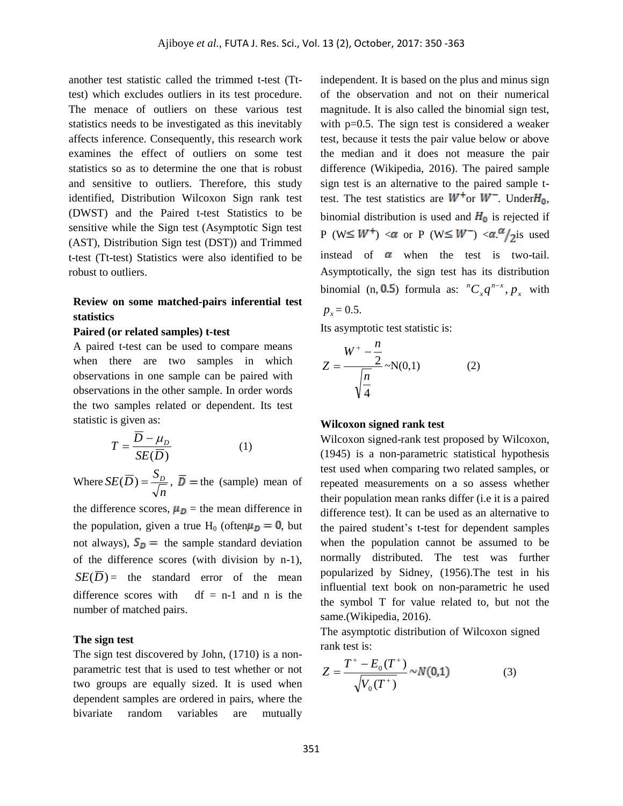another test statistic called the trimmed t-test (Tttest) which excludes outliers in its test procedure. The menace of outliers on these various test statistics needs to be investigated as this inevitably affects inference. Consequently, this research work examines the effect of outliers on some test statistics so as to determine the one that is robust and sensitive to outliers. Therefore, this study identified, Distribution Wilcoxon Sign rank test (DWST) and the Paired t-test Statistics to be sensitive while the Sign test (Asymptotic Sign test (AST), Distribution Sign test (DST)) and Trimmed t-test (Tt-test) Statistics were also identified to be robust to outliers.

### **Review on some matched-pairs inferential test statistics**

#### **Paired (or related samples) t-test**

A paired t-test can be used to compare means when there are two samples in which observations in one sample can be paired with observations in the other sample. In order words the two samples related or dependent. Its test statistic is given as:

$$
T = \frac{\overline{D} - \mu_D}{SE(\overline{D})}
$$
 (1)

Where *n*  $SE(\overline{D}) = \frac{S_D}{\overline{D}}$ ,  $\overline{D}$  = the (sample) mean of

the difference scores,  $\mu_D$  = the mean difference in the population, given a true H<sub>0</sub> (often $\mu_D = 0$ , but not always),  $S_D$  = the sample standard deviation of the difference scores (with division by n-1),  $SE(\overline{D})$  = the standard error of the mean difference scores with  $df = n-1$  and n is the number of matched pairs.

#### **The sign test**

The sign test discovered by John, (1710) is a nonparametric test that is used to test whether or not two groups are equally sized. It is used when dependent samples are ordered in pairs, where the bivariate random variables are mutually

independent. It is based on the plus and minus sign of the observation and not on their numerical magnitude. It is also called the binomial sign test, with p=0.5. The sign test is considered a weaker test, because it tests the pair value below or above the median and it does not measure the pair difference (Wikipedia, 2016). The paired sample sign test is an alternative to the paired sample ttest. The test statistics are  $W^+$ or  $W^-$ . Under  $H_0$ , binomial distribution is used and  $H_0$  is rejected if P (W  $\leq$  W<sup>+</sup>) <  $\alpha$  or P (W  $\leq$  W<sup>-</sup>) <  $\alpha$   $\alpha$ /<sub>2</sub> is used instead of  $\alpha$  when the test is two-tail. Asymptotically, the sign test has its distribution binomial (n, **0.5**) formula as:  ${}^nC_x q^{n-x}$ ,  $p_x$  $n - x$  $^{n}C_{x}q^{n-x}, p_{x}$  with  $p_x = 0.5$ .

Its asymptotic test statistic is:

$$
Z = \frac{W^{+} - \frac{n}{2}}{\sqrt{\frac{n}{4}}} \sim N(0,1)
$$
 (2)

#### **Wilcoxon signed rank test**

Wilcoxon signed-rank test proposed by Wilcoxon, (1945) is a non-parametric statistical hypothesis test used when comparing two related samples, or repeated measurements on a so assess whether their population mean ranks differ (i.e it is a paired difference test). It can be used as an alternative to the paired student's t-test for dependent samples when the population cannot be assumed to be normally distributed. The test was further popularized by Sidney, (1956).The test in his influential text book on non-parametric he used the symbol T for value related to, but not the same.(Wikipedia, 2016).

The asymptotic distribution of Wilcoxon signed rank test is:

$$
Z = \frac{T^+ - E_0(T^+)}{\sqrt{V_0(T^+)}} \sim N(0,1)
$$
 (3)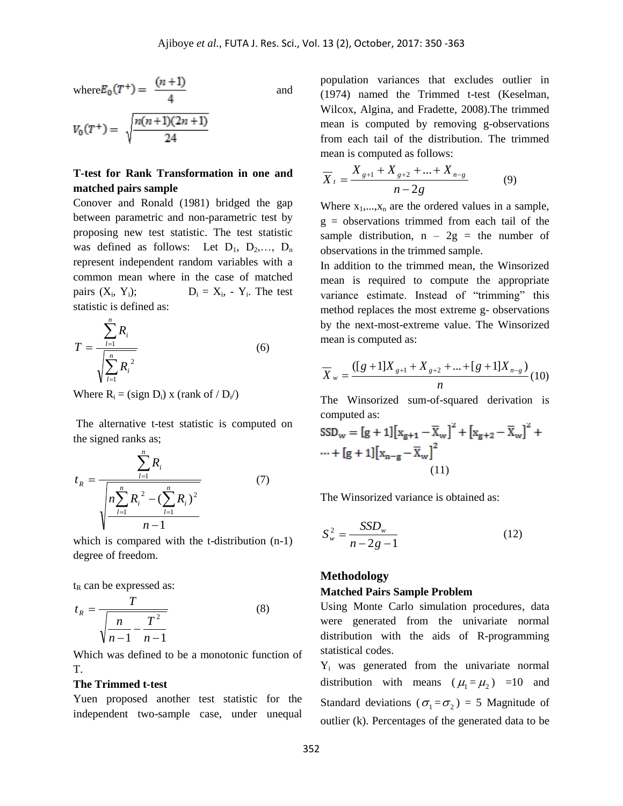where
$$
E_0(T^+) = \frac{(n+1)}{4}
$$
 and  

$$
V_0(T^+) = \sqrt{\frac{n(n+1)(2n+1)}{24}}
$$

24

 $\overline{a}$ 

# **T-test for Rank Transformation in one and matched pairs sample**

Conover and Ronald (1981) bridged the gap between parametric and non-parametric test by proposing new test statistic. The test statistic was defined as follows: Let  $D_1$ ,  $D_2$ ,...,  $D_n$ represent independent random variables with a common mean where in the case of matched pairs  $(X_i, Y_i)$ ;  $D_i = X_i$ ,  $Y_i$ . The test statistic is defined as:

$$
T = \frac{\sum_{l=1}^{n} R_i}{\sqrt{\sum_{l=1}^{n} R_i^2}}
$$
 (6)

Where  $R_i = (sign D_i) x (rank of / D_i)$ 

*n*

The alternative t-test statistic is computed on the signed ranks as;

$$
t_R = \frac{\sum_{l=1}^{R_i} R_i}{\sqrt{n \sum_{l=1}^{n} R_i^2 - (\sum_{l=1}^{n} R_i)^2}}
$$
(7)

which is compared with the t-distribution (n-1) degree of freedom.

 $t<sub>R</sub>$  can be expressed as:

$$
t_R = \frac{T}{\sqrt{\frac{n}{n-1} - \frac{T^2}{n-1}}} \tag{8}
$$

Which was defined to be a monotonic function of T.

#### **The Trimmed t-test**

Yuen proposed another test statistic for the independent two-sample case, under unequal population variances that excludes outlier in (1974) named the Trimmed t-test (Keselman, Wilcox, Algina, and Fradette, 2008).The trimmed mean is computed by removing g-observations from each tail of the distribution. The trimmed mean is computed as follows:

$$
\overline{X}_{t} = \frac{X_{g+1} + X_{g+2} + \dots + X_{n-g}}{n-2g} \tag{9}
$$

Where  $x_1,...,x_n$  are the ordered values in a sample,  $g =$  observations trimmed from each tail of the sample distribution,  $n - 2g =$  the number of observations in the trimmed sample.

In addition to the trimmed mean, the Winsorized mean is required to compute the appropriate variance estimate. Instead of "trimming" this method replaces the most extreme g- observations by the next-most-extreme value. The Winsorized mean is computed as:

$$
\overline{X}_{w} = \frac{([g+1]X_{g+1} + X_{g+2} + \dots + [g+1]X_{n-g})}{n} (10)
$$

The Winsorized sum-of-squared derivation is computed as:

$$
SSD_{w} = [g+1][x_{g+1} - \overline{X}_{w}]^{2} + [x_{g+2} - \overline{X}_{w}]^{2} + \cdots + [g+1][x_{n-g} - \overline{X}_{w}]^{2}
$$
\n(11)

The Winsorized variance is obtained as:

$$
S_w^2 = \frac{SSD_w}{n - 2g - 1} \tag{12}
$$

#### **Methodology**

#### **Matched Pairs Sample Problem**

Using Monte Carlo simulation procedures, data were generated from the univariate normal distribution with the aids of R-programming statistical codes.

Y<sup>i</sup> was generated from the univariate normal distribution with means  $(\mu_1 = \mu_2) = 10$  and Standard deviations ( $\sigma_1 = \sigma_2$ ) = 5 Magnitude of outlier (k). Percentages of the generated data to be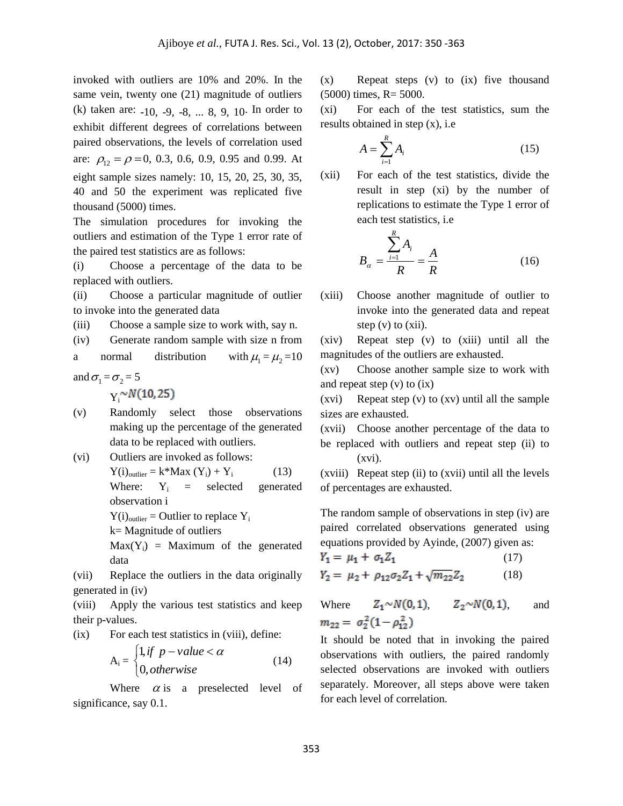invoked with outliers are 10% and 20%. In the same vein, twenty one (21) magnitude of outliers (k) taken are: -10, -9, -8, ... 8, 9, 10. In order to exhibit different degrees of correlations between paired observations, the levels of correlation used are:  $\rho_{12} = \rho = 0, 0.3, 0.6, 0.9, 0.95$  and 0.99. At eight sample sizes namely: 10, 15, 20, 25, 30, 35, 40 and 50 the experiment was replicated five thousand (5000) times.

The simulation procedures for invoking the outliers and estimation of the Type 1 error rate of the paired test statistics are as follows:

(i) Choose a percentage of the data to be replaced with outliers.

(ii) Choose a particular magnitude of outlier to invoke into the generated data

(iii) Choose a sample size to work with, say n.

(iv) Generate random sample with size n from

a normal distribution  $\mu_1 = \mu_2 = 10$ 

and  $\sigma_1 = \sigma_2 = 5$ 

 $Y^{\sim N(10, 25)}$ 

- (v) Randomly select those observations making up the percentage of the generated data to be replaced with outliers.
- (vi) Outliers are invoked as follows:

$$
Y(i)outlier = k*Max (Yi) + Yi (13)
$$
  
Where: Y<sub>i</sub> = selected generated  
observation i

 $Y(i)_{\text{outlier}} =$  Outlier to replace  $Y_i$ 

k= Magnitude of outliers

 $Max(Y_i)$  = Maximum of the generated data

(vii) Replace the outliers in the data originally generated in (iv)

(viii) Apply the various test statistics and keep their p-values.

(ix) For each test statistics in (viii), define:

$$
A_i = \begin{cases} 1, & \text{if } p - value < \alpha \\ 0, & \text{otherwise} \end{cases} \tag{14}
$$

Where  $\alpha$  is a preselected level of significance, say  $0.1$ .

(x) Repeat steps (v) to (ix) five thousand (5000) times, R= 5000.

(xi) For each of the test statistics, sum the results obtained in step (x), i.e

$$
A = \sum_{i=1}^{R} A_i \tag{15}
$$

(xii) For each of the test statistics, divide the result in step (xi) by the number of replications to estimate the Type 1 error of each test statistics, i.e

$$
B_{\alpha} = \frac{\sum_{i=1}^{R} A_i}{R} = \frac{A}{R}
$$
 (16)

(xiii) Choose another magnitude of outlier to invoke into the generated data and repeat step  $(v)$  to  $(xii)$ .

(xiv) Repeat step (v) to (xiii) until all the magnitudes of the outliers are exhausted.

(xv) Choose another sample size to work with and repeat step (v) to (ix)

(xvi) Repeat step (v) to (xv) until all the sample sizes are exhausted.

(xvii) Choose another percentage of the data to be replaced with outliers and repeat step (ii) to (xvi).

(xviii) Repeat step (ii) to (xvii) until all the levels of percentages are exhausted.

The random sample of observations in step (iv) are paired correlated observations generated using equations provided by Ayinde, (2007) given as:

$$
Y_1 = \mu_1 + \sigma_1 Z_1 \tag{17}
$$
  
\n
$$
Y_2 = \mu_2 + \rho_{12} \sigma_2 Z_1 + \sqrt{m_{22}} Z_2 \tag{18}
$$

Where  $Z_1 \sim N(0, 1)$ ,  $Z_2 \sim N(0, 1)$ , and  $m_{22} = \sigma_2^2(1-\rho_{12}^2)$ 

It should be noted that in invoking the paired observations with outliers, the paired randomly selected observations are invoked with outliers separately. Moreover, all steps above were taken for each level of correlation.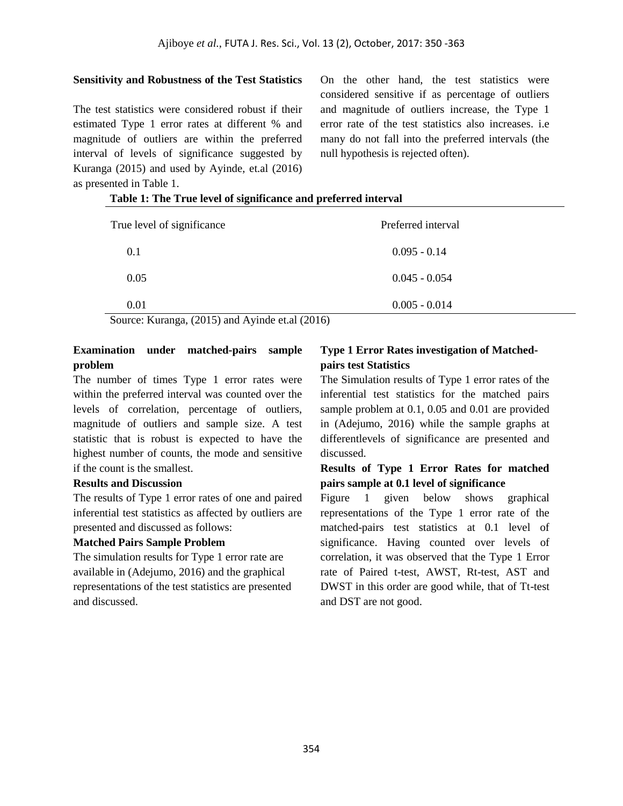#### **Sensitivity and Robustness of the Test Statistics**

The test statistics were considered robust if their estimated Type 1 error rates at different % and magnitude of outliers are within the preferred interval of levels of significance suggested by Kuranga (2015) and used by Ayinde, et.al (2016) as presented in Table 1.

On the other hand, the test statistics were considered sensitive if as percentage of outliers and magnitude of outliers increase, the Type 1 error rate of the test statistics also increases. i.e many do not fall into the preferred intervals (the null hypothesis is rejected often).

| True level of significance | Preferred interval                                    |
|----------------------------|-------------------------------------------------------|
| 0.1                        | $0.095 - 0.14$                                        |
| 0.05                       | $0.045 - 0.054$                                       |
| 0.01<br>$-$<br>$\sim$      | $0.005 - 0.014$<br>$\sim$ $\sim$ $\sim$ $\sim$ $\sim$ |

### **Table 1: The True level of significance and preferred interval**

Source: Kuranga, (2015) and Ayinde et.al (2016)

# **Examination under matched-pairs sample problem**

The number of times Type 1 error rates were within the preferred interval was counted over the levels of correlation, percentage of outliers, magnitude of outliers and sample size. A test statistic that is robust is expected to have the highest number of counts, the mode and sensitive if the count is the smallest.

#### **Results and Discussion**

The results of Type 1 error rates of one and paired inferential test statistics as affected by outliers are presented and discussed as follows:

#### **Matched Pairs Sample Problem**

The simulation results for Type 1 error rate are available in (Adejumo, 2016) and the graphical representations of the test statistics are presented and discussed.

# **Type 1 Error Rates investigation of Matchedpairs test Statistics**

The Simulation results of Type 1 error rates of the inferential test statistics for the matched pairs sample problem at 0.1, 0.05 and 0.01 are provided in (Adejumo, 2016) while the sample graphs at differentlevels of significance are presented and discussed.

### **Results of Type 1 Error Rates for matched pairs sample at 0.1 level of significance**

Figure 1 given below shows graphical representations of the Type 1 error rate of the matched-pairs test statistics at 0.1 level of significance. Having counted over levels of correlation, it was observed that the Type 1 Error rate of Paired t-test, AWST, Rt-test, AST and DWST in this order are good while, that of Tt-test and DST are not good.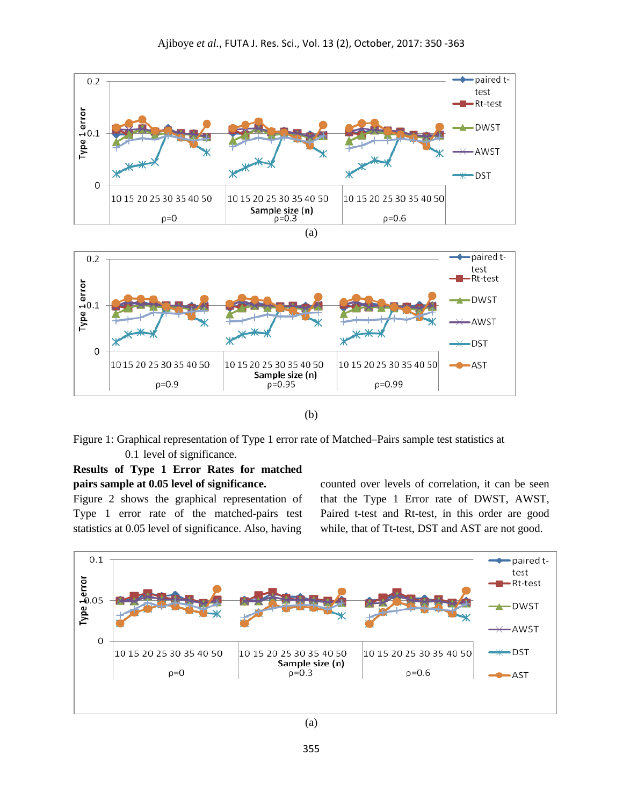

(a)



(b)

Figure 1: Graphical representation of Type 1 error rate of Matched–Pairs sample test statistics at 0.1 level of significance.

# **Results of Type 1 Error Rates for matched pairs sample at 0.05 level of significance.**

Figure 2 shows the graphical representation of Type 1 error rate of the matched-pairs test statistics at 0.05 level of significance. Also, having

counted over levels of correlation, it can be seen that the Type 1 Error rate of DWST, AWST, Paired t-test and Rt-test, in this order are good while, that of Tt-test, DST and AST are not good.

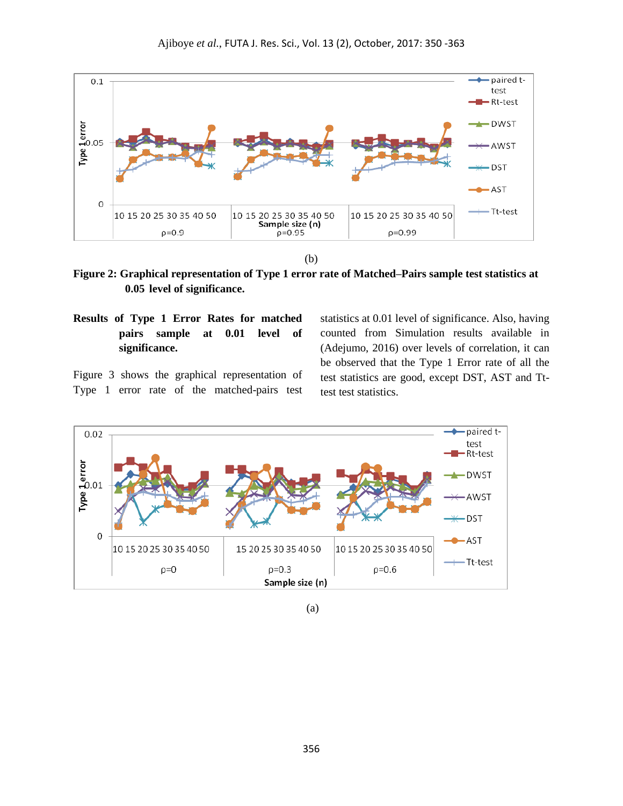

(b)

**Figure 2: Graphical representation of Type 1 error rate of Matched–Pairs sample test statistics at 0.05 level of significance.**

**Results of Type 1 Error Rates for matched pairs sample at 0.01 level of significance.**

Figure 3 shows the graphical representation of Type 1 error rate of the matched-pairs test statistics at 0.01 level of significance. Also, having counted from Simulation results available in (Adejumo, 2016) over levels of correlation, it can be observed that the Type 1 Error rate of all the test statistics are good, except DST, AST and Tttest test statistics.



(a)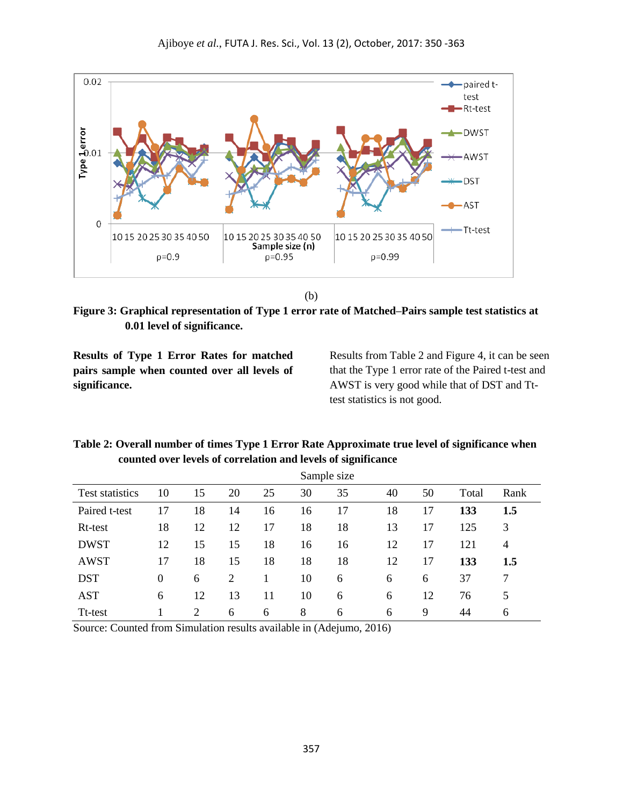

```
(b)
```
**Figure 3: Graphical representation of Type 1 error rate of Matched–Pairs sample test statistics at 0.01 level of significance.**

**Results of Type 1 Error Rates for matched pairs sample when counted over all levels of significance.**

Results from Table 2 and Figure 4, it can be seen that the Type 1 error rate of the Paired t-test and AWST is very good while that of DST and Tttest statistics is not good.

# **Table 2: Overall number of times Type 1 Error Rate Approximate true level of significance when counted over levels of correlation and levels of significance**

|                        |    |    |    |    |    | Sample size |    |    |       |      |
|------------------------|----|----|----|----|----|-------------|----|----|-------|------|
| <b>Test statistics</b> | 10 | 15 | 20 | 25 | 30 | 35          | 40 | 50 | Total | Rank |
| Paired t-test          | 17 | 18 | 14 | 16 | 16 | 17          | 18 | 17 | 133   | 1.5  |
| Rt-test                | 18 | 12 | 12 | 17 | 18 | 18          | 13 | 17 | 125   | 3    |
| <b>DWST</b>            | 12 | 15 | 15 | 18 | 16 | 16          | 12 | 17 | 121   | 4    |
| <b>AWST</b>            | 17 | 18 | 15 | 18 | 18 | 18          | 12 | 17 | 133   | 1.5  |
| <b>DST</b>             | 0  | 6  | 2  |    | 10 | 6           | 6  | 6  | 37    | 7    |
| <b>AST</b>             | 6  | 12 | 13 | 11 | 10 | 6           | 6  | 12 | 76    | 5    |
| Tt-test                |    | 2  | 6  | 6  | 8  | 6           | 6  | 9  | 44    | 6    |

Source: Counted from Simulation results available in (Adejumo, 2016)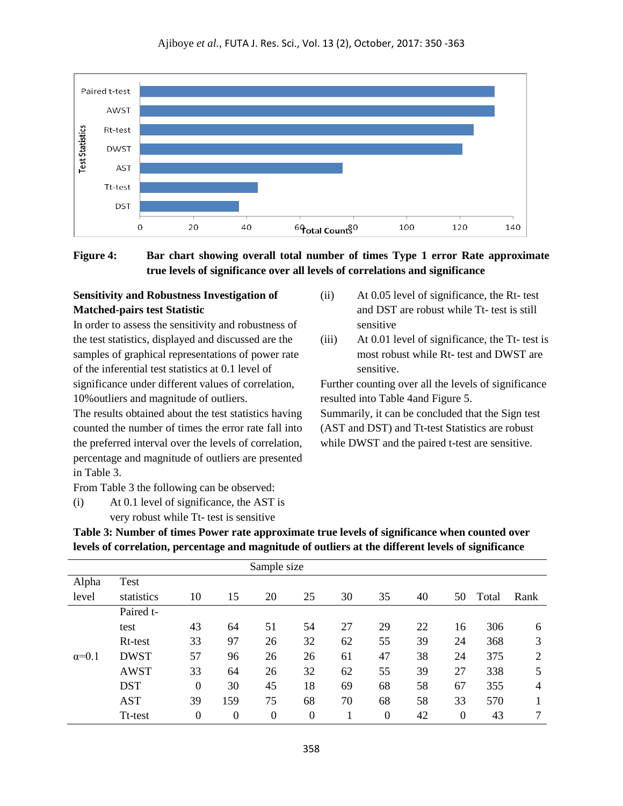

**Figure 4: Bar chart showing overall total number of times Type 1 error Rate approximate true levels of significance over all levels of correlations and significance**

# **Sensitivity and Robustness Investigation of Matched-pairs test Statistic**

In order to assess the sensitivity and robustness of the test statistics, displayed and discussed are the samples of graphical representations of power rate of the inferential test statistics at 0.1 level of significance under different values of correlation, 10%outliers and magnitude of outliers.

The results obtained about the test statistics having counted the number of times the error rate fall into the preferred interval over the levels of correlation, percentage and magnitude of outliers are presented in Table 3.

From Table 3 the following can be observed:

(i) At 0.1 level of significance, the AST is very robust while Tt- test is sensitive

- (ii) At 0.05 level of significance, the Rt- test and DST are robust while Tt- test is still sensitive
- (iii) At 0.01 level of significance, the Tt- test is most robust while Rt- test and DWST are sensitive.

Further counting over all the levels of significance resulted into Table 4and Figure 5.

Summarily, it can be concluded that the Sign test (AST and DST) and Tt-test Statistics are robust while DWST and the paired t-test are sensitive.

**Table 3: Number of times Power rate approximate true levels of significance when counted over levels of correlation, percentage and magnitude of outliers at the different levels of significance**

| Sample size  |             |                  |                  |                  |                |    |                  |    |                  |       |                |
|--------------|-------------|------------------|------------------|------------------|----------------|----|------------------|----|------------------|-------|----------------|
| Alpha        | Test        |                  |                  |                  |                |    |                  |    |                  |       |                |
| level        | statistics  | 10               | 15               | 20               | 25             | 30 | 35               | 40 | 50               | Total | Rank           |
|              | Paired t-   |                  |                  |                  |                |    |                  |    |                  |       |                |
|              | test        | 43               | 64               | 51               | 54             | 27 | 29               | 22 | 16               | 306   | 6              |
|              | Rt-test     | 33               | 97               | 26               | 32             | 62 | 55               | 39 | 24               | 368   | 3              |
| $\alpha=0.1$ | <b>DWST</b> | 57               | 96               | 26               | 26             | 61 | 47               | 38 | 24               | 375   | $\overline{2}$ |
|              | <b>AWST</b> | 33               | 64               | 26               | 32             | 62 | 55               | 39 | 27               | 338   | 5              |
|              | <b>DST</b>  | $\overline{0}$   | 30               | 45               | 18             | 69 | 68               | 58 | 67               | 355   | 4              |
|              | <b>AST</b>  | 39               | 159              | 75               | 68             | 70 | 68               | 58 | 33               | 570   |                |
|              | Tt-test     | $\boldsymbol{0}$ | $\boldsymbol{0}$ | $\boldsymbol{0}$ | $\overline{0}$ |    | $\boldsymbol{0}$ | 42 | $\boldsymbol{0}$ | 43    | 7              |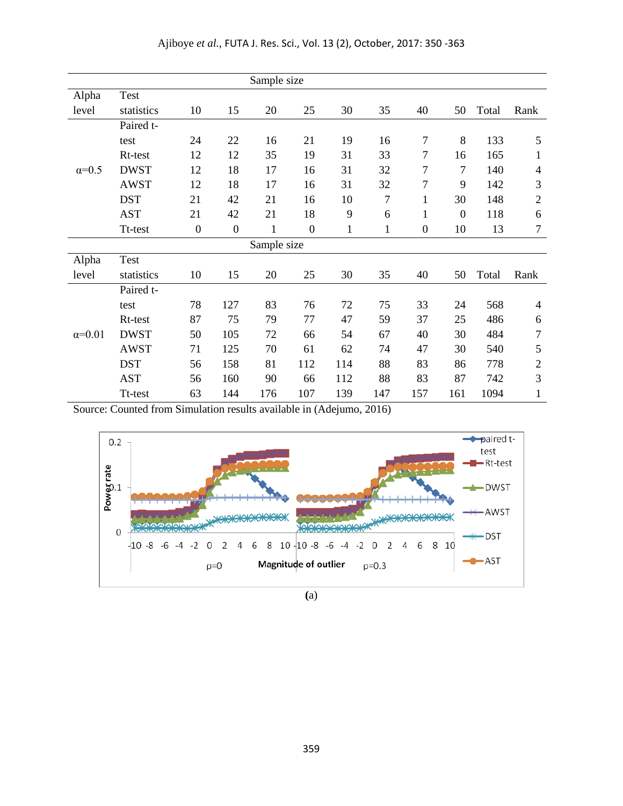|                 |             |                  |                  | Sample size  |                  |              |              |                  |                |       |                          |
|-----------------|-------------|------------------|------------------|--------------|------------------|--------------|--------------|------------------|----------------|-------|--------------------------|
| Alpha           | <b>Test</b> |                  |                  |              |                  |              |              |                  |                |       |                          |
| level           | statistics  | 10               | 15               | 20           | 25               | 30           | 35           | 40               | 50             | Total | Rank                     |
|                 | Paired t-   |                  |                  |              |                  |              |              |                  |                |       |                          |
|                 | test        | 24               | 22               | 16           | 21               | 19           | 16           | 7                | 8              | 133   | 5                        |
|                 | Rt-test     | 12               | 12               | 35           | 19               | 31           | 33           | 7                | 16             | 165   | 1                        |
| $\alpha=0.5$    | <b>DWST</b> | 12               | 18               | 17           | 16               | 31           | 32           | 7                | 7              | 140   | 4                        |
|                 | <b>AWST</b> | 12               | 18               | 17           | 16               | 31           | 32           | 7                | 9              | 142   | 3                        |
|                 | <b>DST</b>  | 21               | 42               | 21           | 16               | 10           | $\tau$       | 1                | 30             | 148   | $\mathbf{2}$             |
|                 | <b>AST</b>  | 21               | 42               | 21           | 18               | 9            | 6            | $\mathbf{1}$     | $\overline{0}$ | 118   | 6                        |
|                 | Tt-test     | $\boldsymbol{0}$ | $\boldsymbol{0}$ | $\mathbf{1}$ | $\boldsymbol{0}$ | $\mathbf{1}$ | $\mathbf{1}$ | $\boldsymbol{0}$ | 10             | 13    | $\tau$                   |
|                 |             |                  |                  | Sample size  |                  |              |              |                  |                |       |                          |
| Alpha           | <b>Test</b> |                  |                  |              |                  |              |              |                  |                |       |                          |
| level           | statistics  | 10               | 15               | 20           | 25               | 30           | 35           | 40               | 50             | Total | Rank                     |
|                 | Paired t-   |                  |                  |              |                  |              |              |                  |                |       |                          |
|                 | test        | 78               | 127              | 83           | 76               | 72           | 75           | 33               | 24             | 568   | $\overline{\mathcal{A}}$ |
|                 | Rt-test     | 87               | 75               | 79           | 77               | 47           | 59           | 37               | 25             | 486   | 6                        |
| $\alpha = 0.01$ | <b>DWST</b> | 50               | 105              | 72           | 66               | 54           | 67           | 40               | 30             | 484   | 7                        |
|                 | <b>AWST</b> | 71               | 125              | 70           | 61               | 62           | 74           | 47               | 30             | 540   | $\mathfrak{S}$           |
|                 | <b>DST</b>  | 56               | 158              | 81           | 112              | 114          | 88           | 83               | 86             | 778   | $\overline{2}$           |
|                 | <b>AST</b>  | 56               | 160              | 90           | 66               | 112          | 88           | 83               | 87             | 742   | 3                        |
|                 | Tt-test     | 63               | 144              | 176          | 107              | 139          | 147          | 157              | 161            | 1094  | $\mathbf{1}$             |

Source: Counted from Simulation results available in (Adejumo, 2016)



**(**a)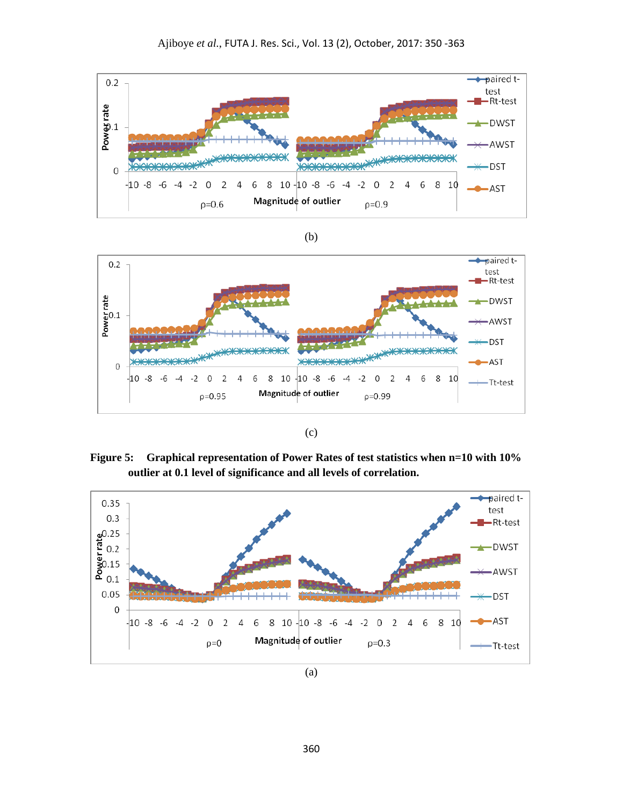

(b)



| I<br>$\sim$ |
|-------------|

 **Figure 5: Graphical representation of Power Rates of test statistics when n=10 with 10% outlier at 0.1 level of significance and all levels of correlation.**



(a)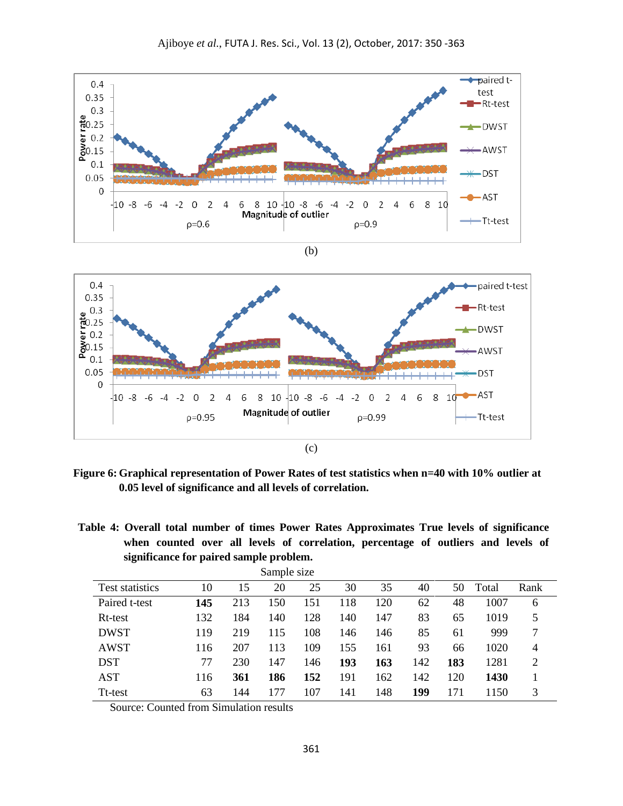

**Figure 6: Graphical representation of Power Rates of test statistics when n=40 with 10% outlier at 0.05 level of significance and all levels of correlation.**

**Table 4: Overall total number of times Power Rates Approximates True levels of significance when counted over all levels of correlation, percentage of outliers and levels of significance for paired sample problem.**

| Sample size     |     |     |     |     |     |     |     |     |       |      |
|-----------------|-----|-----|-----|-----|-----|-----|-----|-----|-------|------|
| Test statistics | 10  | 15  | 20  | 25  | 30  | 35  | 40  | 50  | Total | Rank |
| Paired t-test   | 145 | 213 | 150 | 151 | 118 | 120 | 62  | 48  | 1007  | 6    |
| Rt-test         | 132 | 184 | 140 | 128 | 140 | 147 | 83  | 65  | 1019  | 5    |
| <b>DWST</b>     | 119 | 219 | 115 | 108 | 146 | 146 | 85  | 61  | 999   | 7    |
| <b>AWST</b>     | 116 | 207 | 113 | 109 | 155 | 161 | 93  | 66  | 1020  | 4    |
| <b>DST</b>      | 77  | 230 | 147 | 146 | 193 | 163 | 142 | 183 | 1281  | 2    |
| <b>AST</b>      | 116 | 361 | 186 | 152 | 191 | 162 | 142 | 120 | 1430  |      |
| Tt-test         | 63  | 144 | 177 | 107 | 141 | 148 | 199 | 171 | 1150  | 3    |

Source: Counted from Simulation results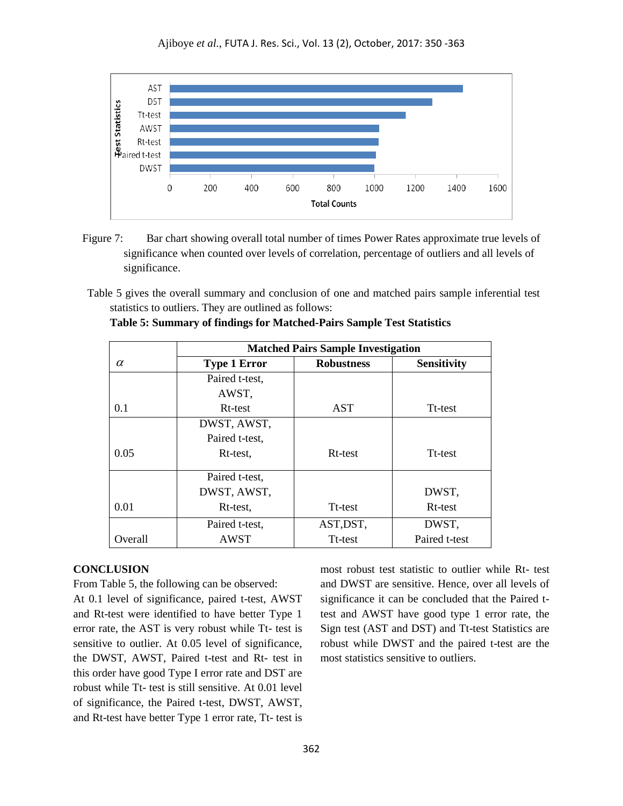

- Figure 7: Bar chart showing overall total number of times Power Rates approximate true levels of significance when counted over levels of correlation, percentage of outliers and all levels of significance.
- Table 5 gives the overall summary and conclusion of one and matched pairs sample inferential test statistics to outliers. They are outlined as follows:

|          | <b>Matched Pairs Sample Investigation</b> |                   |                     |  |  |  |  |  |  |
|----------|-------------------------------------------|-------------------|---------------------|--|--|--|--|--|--|
| $\alpha$ | <b>Type 1 Error</b>                       | <b>Robustness</b> | <b>Sensitivity</b>  |  |  |  |  |  |  |
|          | Paired t-test,                            |                   |                     |  |  |  |  |  |  |
|          | AWST,                                     |                   |                     |  |  |  |  |  |  |
| 0.1      | Rt-test                                   | AST               | Tt-test             |  |  |  |  |  |  |
|          | DWST, AWST,                               |                   |                     |  |  |  |  |  |  |
|          | Paired t-test,                            |                   |                     |  |  |  |  |  |  |
| 0.05     | Rt-test,                                  | Rt-test           | Tt-test             |  |  |  |  |  |  |
|          | Paired t-test,                            |                   |                     |  |  |  |  |  |  |
|          | DWST, AWST,                               |                   | DWST,               |  |  |  |  |  |  |
| 0.01     | Rt-test,                                  | Tt-test           | R <sub>t-test</sub> |  |  |  |  |  |  |
|          | Paired t-test,                            | AST, DST,         | DWST,               |  |  |  |  |  |  |
| Overall  | <b>AWST</b>                               | Tt-test           | Paired t-test       |  |  |  |  |  |  |

|  | Table 5: Summary of findings for Matched-Pairs Sample Test Statistics |  |
|--|-----------------------------------------------------------------------|--|
|  |                                                                       |  |

#### **CONCLUSION**

From Table 5, the following can be observed:

At 0.1 level of significance, paired t-test, AWST and Rt-test were identified to have better Type 1 error rate, the AST is very robust while Tt- test is sensitive to outlier. At 0.05 level of significance, the DWST, AWST, Paired t-test and Rt- test in this order have good Type I error rate and DST are robust while Tt- test is still sensitive. At 0.01 level of significance, the Paired t-test, DWST, AWST, and Rt-test have better Type 1 error rate, Tt- test is

most robust test statistic to outlier while Rt- test and DWST are sensitive. Hence, over all levels of significance it can be concluded that the Paired ttest and AWST have good type 1 error rate, the Sign test (AST and DST) and Tt-test Statistics are robust while DWST and the paired t-test are the most statistics sensitive to outliers.